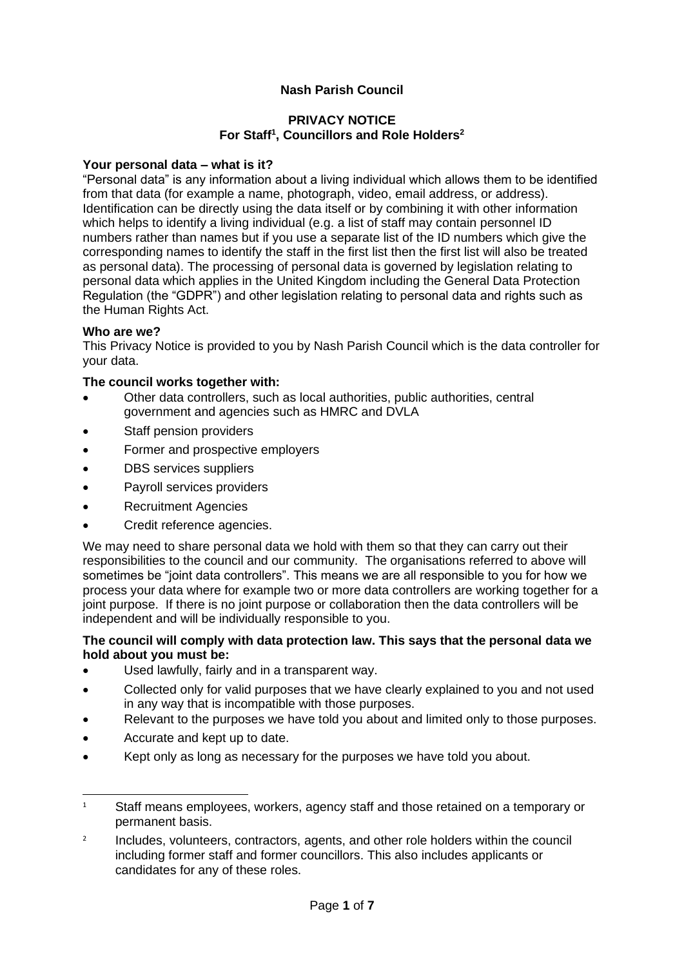# **Nash Parish Council**

### **PRIVACY NOTICE For Staff<sup>1</sup> , Councillors and Role Holders<sup>2</sup>**

### **Your personal data – what is it?**

"Personal data" is any information about a living individual which allows them to be identified from that data (for example a name, photograph, video, email address, or address). Identification can be directly using the data itself or by combining it with other information which helps to identify a living individual (e.g. a list of staff may contain personnel ID numbers rather than names but if you use a separate list of the ID numbers which give the corresponding names to identify the staff in the first list then the first list will also be treated as personal data). The processing of personal data is governed by legislation relating to personal data which applies in the United Kingdom including the General Data Protection Regulation (the "GDPR") and other legislation relating to personal data and rights such as the Human Rights Act.

### **Who are we?**

This Privacy Notice is provided to you by Nash Parish Council which is the data controller for your data.

#### **The council works together with:**

- Other data controllers, such as local authorities, public authorities, central government and agencies such as HMRC and DVLA
- Staff pension providers
- Former and prospective employers
- DBS services suppliers
- Payroll services providers
- Recruitment Agencies
- Credit reference agencies.

We may need to share personal data we hold with them so that they can carry out their responsibilities to the council and our community. The organisations referred to above will sometimes be "joint data controllers". This means we are all responsible to you for how we process your data where for example two or more data controllers are working together for a joint purpose. If there is no joint purpose or collaboration then the data controllers will be independent and will be individually responsible to you.

#### **The council will comply with data protection law. This says that the personal data we hold about you must be:**

- Used lawfully, fairly and in a transparent way.
- Collected only for valid purposes that we have clearly explained to you and not used in any way that is incompatible with those purposes.
- Relevant to the purposes we have told you about and limited only to those purposes.
- Accurate and kept up to date.
- Kept only as long as necessary for the purposes we have told you about.

<sup>&</sup>lt;sup>1</sup> Staff means employees, workers, agency staff and those retained on a temporary or permanent basis.

<sup>2</sup> Includes, volunteers, contractors, agents, and other role holders within the council including former staff and former councillors. This also includes applicants or candidates for any of these roles.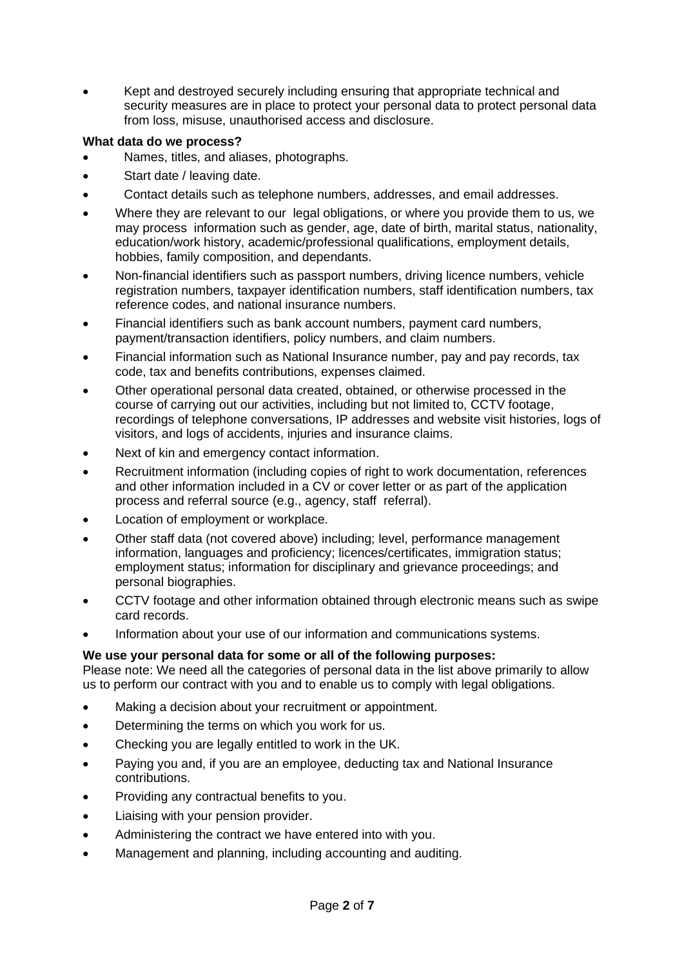• Kept and destroyed securely including ensuring that appropriate technical and security measures are in place to protect your personal data to protect personal data from loss, misuse, unauthorised access and disclosure.

# **What data do we process?**

- Names, titles, and aliases, photographs.
- Start date / leaving date.
- Contact details such as telephone numbers, addresses, and email addresses.
- Where they are relevant to our legal obligations, or where you provide them to us, we may process information such as gender, age, date of birth, marital status, nationality, education/work history, academic/professional qualifications, employment details, hobbies, family composition, and dependants.
- Non-financial identifiers such as passport numbers, driving licence numbers, vehicle registration numbers, taxpayer identification numbers, staff identification numbers, tax reference codes, and national insurance numbers.
- Financial identifiers such as bank account numbers, payment card numbers, payment/transaction identifiers, policy numbers, and claim numbers.
- Financial information such as National Insurance number, pay and pay records, tax code, tax and benefits contributions, expenses claimed.
- Other operational personal data created, obtained, or otherwise processed in the course of carrying out our activities, including but not limited to, CCTV footage, recordings of telephone conversations, IP addresses and website visit histories, logs of visitors, and logs of accidents, injuries and insurance claims.
- Next of kin and emergency contact information.
- Recruitment information (including copies of right to work documentation, references and other information included in a CV or cover letter or as part of the application process and referral source (e.g., agency, staff referral).
- Location of employment or workplace.
- Other staff data (not covered above) including; level, performance management information, languages and proficiency; licences/certificates, immigration status; employment status; information for disciplinary and grievance proceedings; and personal biographies.
- CCTV footage and other information obtained through electronic means such as swipe card records.
- Information about your use of our information and communications systems.

# **We use your personal data for some or all of the following purposes:**

Please note: We need all the categories of personal data in the list above primarily to allow us to perform our contract with you and to enable us to comply with legal obligations.

- Making a decision about your recruitment or appointment.
- Determining the terms on which you work for us.
- Checking you are legally entitled to work in the UK.
- Paying you and, if you are an employee, deducting tax and National Insurance contributions.
- Providing any contractual benefits to you.
- Liaising with your pension provider.
- Administering the contract we have entered into with you.
- Management and planning, including accounting and auditing.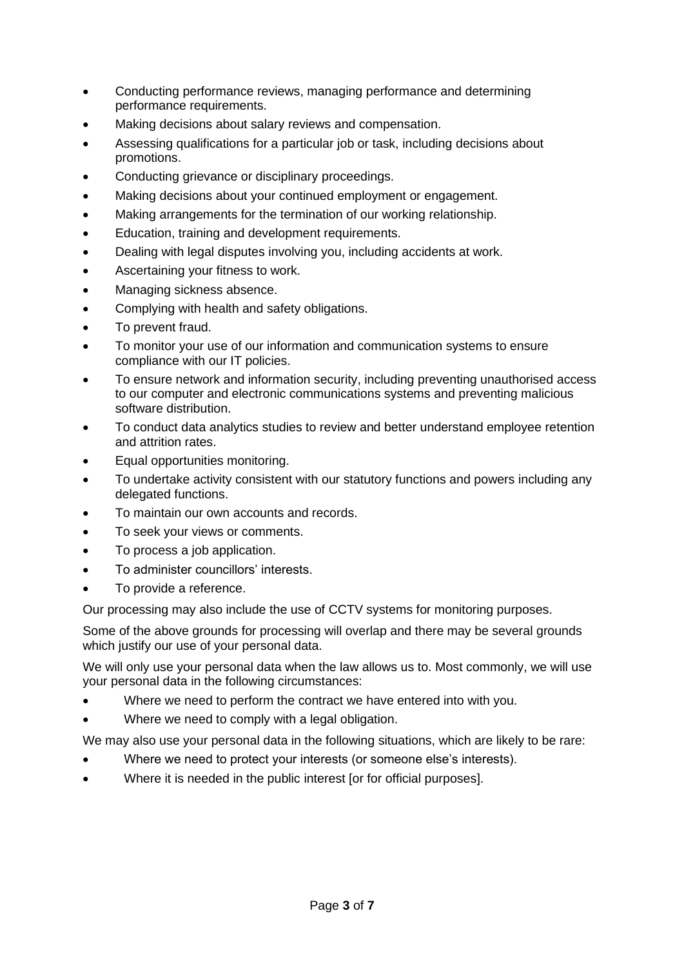- Conducting performance reviews, managing performance and determining performance requirements.
- Making decisions about salary reviews and compensation.
- Assessing qualifications for a particular job or task, including decisions about promotions.
- Conducting grievance or disciplinary proceedings.
- Making decisions about your continued employment or engagement.
- Making arrangements for the termination of our working relationship.
- Education, training and development requirements.
- Dealing with legal disputes involving you, including accidents at work.
- Ascertaining your fitness to work.
- Managing sickness absence.
- Complying with health and safety obligations.
- To prevent fraud.
- To monitor your use of our information and communication systems to ensure compliance with our IT policies.
- To ensure network and information security, including preventing unauthorised access to our computer and electronic communications systems and preventing malicious software distribution.
- To conduct data analytics studies to review and better understand employee retention and attrition rates.
- Equal opportunities monitoring.
- To undertake activity consistent with our statutory functions and powers including any delegated functions.
- To maintain our own accounts and records.
- To seek your views or comments.
- To process a job application.
- To administer councillors' interests.
- To provide a reference.

Our processing may also include the use of CCTV systems for monitoring purposes.

Some of the above grounds for processing will overlap and there may be several grounds which justify our use of your personal data.

We will only use your personal data when the law allows us to. Most commonly, we will use your personal data in the following circumstances:

- Where we need to perform the contract we have entered into with you.
- Where we need to comply with a legal obligation.

We may also use your personal data in the following situations, which are likely to be rare:

- Where we need to protect your interests (or someone else's interests).
- Where it is needed in the public interest [or for official purposes].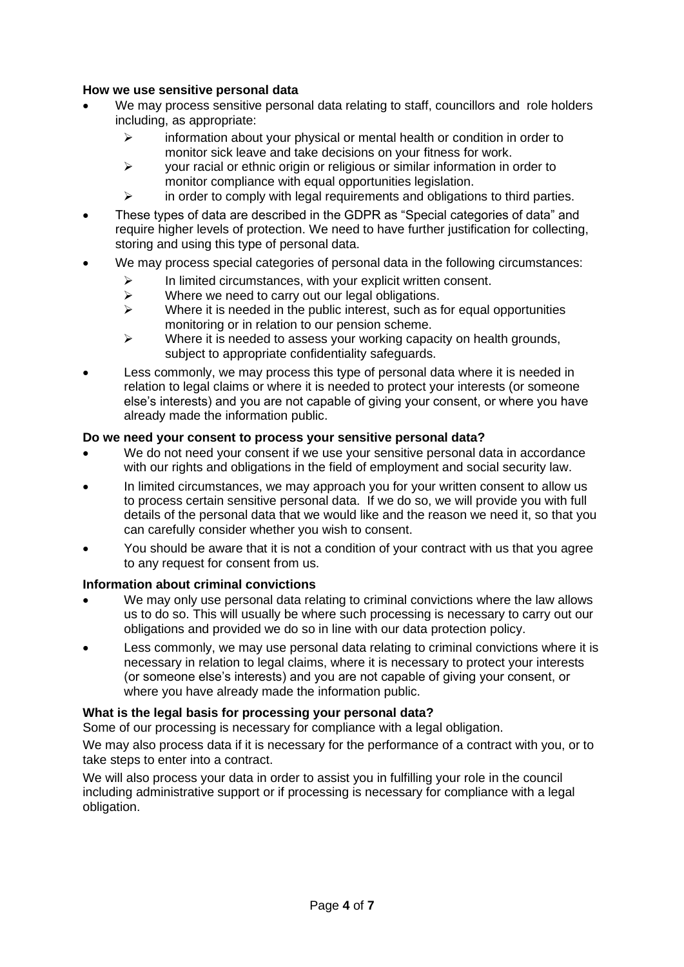### **How we use sensitive personal data**

- We may process sensitive personal data relating to staff, councillors and role holders including, as appropriate:
	- $\triangleright$  information about your physical or mental health or condition in order to monitor sick leave and take decisions on your fitness for work.
	- $\triangleright$  your racial or ethnic origin or religious or similar information in order to monitor compliance with equal opportunities legislation.
	- ➢ in order to comply with legal requirements and obligations to third parties.
- These types of data are described in the GDPR as "Special categories of data" and require higher levels of protection. We need to have further justification for collecting, storing and using this type of personal data.
- We may process special categories of personal data in the following circumstances:
	- $\triangleright$  In limited circumstances, with your explicit written consent.<br>  $\triangleright$  Where we need to carry out our legal obligations.
	- $\triangleright$  Where we need to carry out our legal obligations.<br> $\triangleright$  Where it is needed in the public interest, such as t
	- Where it is needed in the public interest, such as for equal opportunities monitoring or in relation to our pension scheme.
	- $\triangleright$  Where it is needed to assess your working capacity on health grounds, subject to appropriate confidentiality safeguards.
- Less commonly, we may process this type of personal data where it is needed in relation to legal claims or where it is needed to protect your interests (or someone else's interests) and you are not capable of giving your consent, or where you have already made the information public.

### **Do we need your consent to process your sensitive personal data?**

- We do not need your consent if we use your sensitive personal data in accordance with our rights and obligations in the field of employment and social security law.
- In limited circumstances, we may approach you for your written consent to allow us to process certain sensitive personal data. If we do so, we will provide you with full details of the personal data that we would like and the reason we need it, so that you can carefully consider whether you wish to consent.
- You should be aware that it is not a condition of your contract with us that you agree to any request for consent from us.

### **Information about criminal convictions**

- We may only use personal data relating to criminal convictions where the law allows us to do so. This will usually be where such processing is necessary to carry out our obligations and provided we do so in line with our data protection policy.
- Less commonly, we may use personal data relating to criminal convictions where it is necessary in relation to legal claims, where it is necessary to protect your interests (or someone else's interests) and you are not capable of giving your consent, or where you have already made the information public.

### **What is the legal basis for processing your personal data?**

Some of our processing is necessary for compliance with a legal obligation.

We may also process data if it is necessary for the performance of a contract with you, or to take steps to enter into a contract.

We will also process your data in order to assist you in fulfilling your role in the council including administrative support or if processing is necessary for compliance with a legal obligation.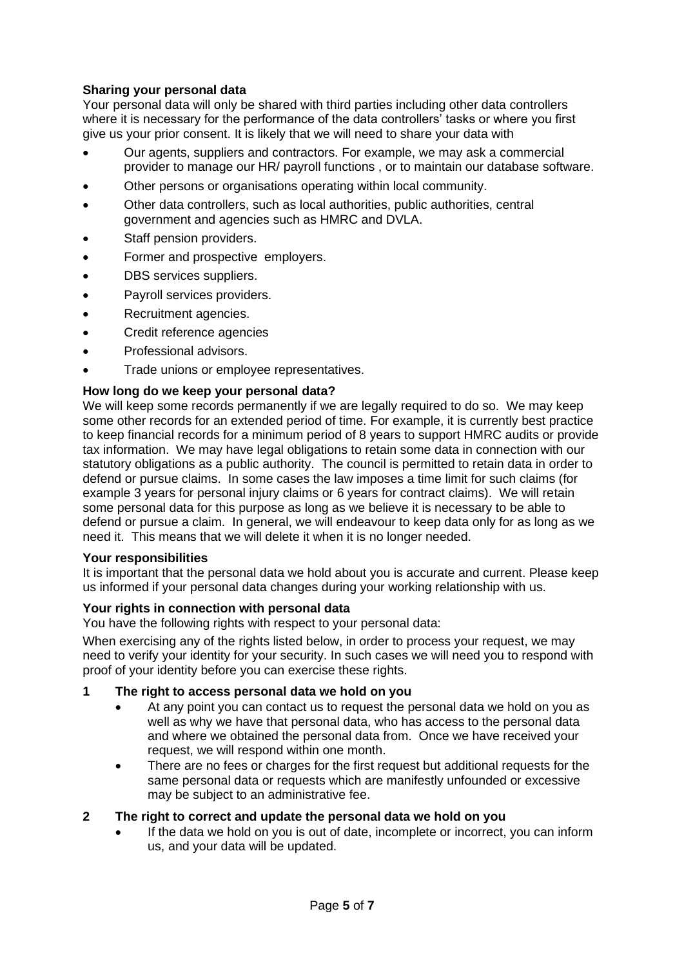## **Sharing your personal data**

Your personal data will only be shared with third parties including other data controllers where it is necessary for the performance of the data controllers' tasks or where you first give us your prior consent. It is likely that we will need to share your data with

- Our agents, suppliers and contractors. For example, we may ask a commercial provider to manage our HR/ payroll functions , or to maintain our database software.
- Other persons or organisations operating within local community.
- Other data controllers, such as local authorities, public authorities, central government and agencies such as HMRC and DVLA.
- Staff pension providers.
- Former and prospective employers.
- DBS services suppliers.
- Payroll services providers.
- Recruitment agencies.
- Credit reference agencies
- Professional advisors.
- Trade unions or employee representatives.

### **How long do we keep your personal data?**

We will keep some records permanently if we are legally required to do so. We may keep some other records for an extended period of time. For example, it is currently best practice to keep financial records for a minimum period of 8 years to support HMRC audits or provide tax information. We may have legal obligations to retain some data in connection with our statutory obligations as a public authority. The council is permitted to retain data in order to defend or pursue claims. In some cases the law imposes a time limit for such claims (for example 3 years for personal injury claims or 6 years for contract claims). We will retain some personal data for this purpose as long as we believe it is necessary to be able to defend or pursue a claim. In general, we will endeavour to keep data only for as long as we need it. This means that we will delete it when it is no longer needed.

#### **Your responsibilities**

It is important that the personal data we hold about you is accurate and current. Please keep us informed if your personal data changes during your working relationship with us.

### **Your rights in connection with personal data**

You have the following rights with respect to your personal data:

When exercising any of the rights listed below, in order to process your request, we may need to verify your identity for your security. In such cases we will need you to respond with proof of your identity before you can exercise these rights.

- **1 The right to access personal data we hold on you**
	- At any point you can contact us to request the personal data we hold on you as well as why we have that personal data, who has access to the personal data and where we obtained the personal data from. Once we have received your request, we will respond within one month.
	- There are no fees or charges for the first request but additional requests for the same personal data or requests which are manifestly unfounded or excessive may be subject to an administrative fee.

### **2 The right to correct and update the personal data we hold on you**

If the data we hold on you is out of date, incomplete or incorrect, you can inform us, and your data will be updated.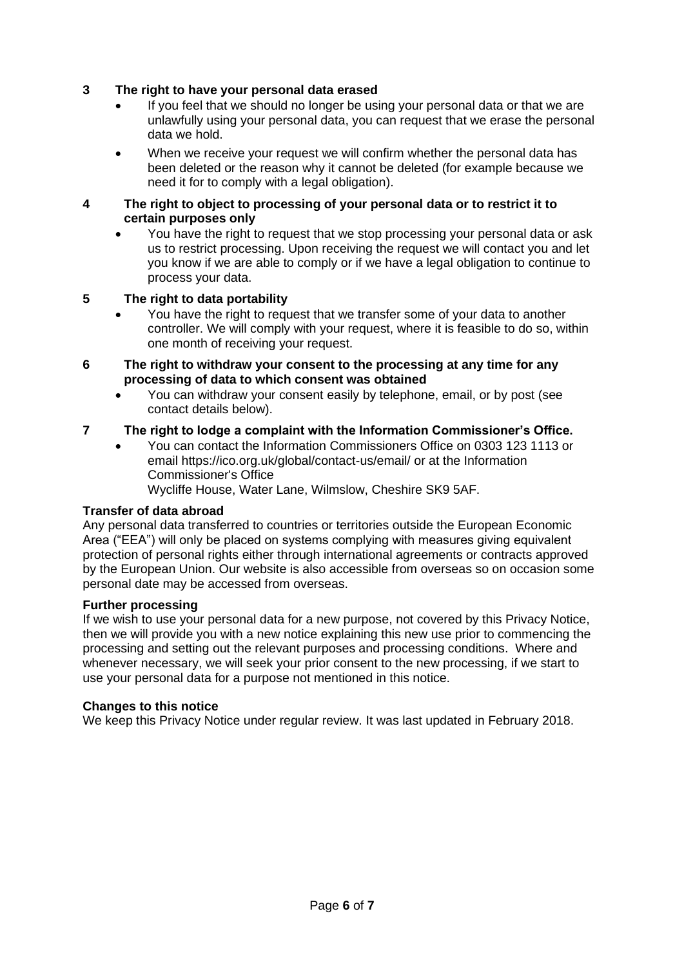## **3 The right to have your personal data erased**

- If you feel that we should no longer be using your personal data or that we are unlawfully using your personal data, you can request that we erase the personal data we hold.
- When we receive your request we will confirm whether the personal data has been deleted or the reason why it cannot be deleted (for example because we need it for to comply with a legal obligation).

### **4 The right to object to processing of your personal data or to restrict it to certain purposes only**

• You have the right to request that we stop processing your personal data or ask us to restrict processing. Upon receiving the request we will contact you and let you know if we are able to comply or if we have a legal obligation to continue to process your data.

### **5 The right to data portability**

- You have the right to request that we transfer some of your data to another controller. We will comply with your request, where it is feasible to do so, within one month of receiving your request.
- **6 The right to withdraw your consent to the processing at any time for any processing of data to which consent was obtained**
	- You can withdraw your consent easily by telephone, email, or by post (see contact details below).

### **7 The right to lodge a complaint with the Information Commissioner's Office.**

• You can contact the Information Commissioners Office on 0303 123 1113 or email https://ico.org.uk/global/contact-us/email/ or at the Information Commissioner's Office

Wycliffe House, Water Lane, Wilmslow, Cheshire SK9 5AF.

### **Transfer of data abroad**

Any personal data transferred to countries or territories outside the European Economic Area ("EEA") will only be placed on systems complying with measures giving equivalent protection of personal rights either through international agreements or contracts approved by the European Union. Our website is also accessible from overseas so on occasion some personal date may be accessed from overseas.

### **Further processing**

If we wish to use your personal data for a new purpose, not covered by this Privacy Notice, then we will provide you with a new notice explaining this new use prior to commencing the processing and setting out the relevant purposes and processing conditions. Where and whenever necessary, we will seek your prior consent to the new processing, if we start to use your personal data for a purpose not mentioned in this notice.

#### **Changes to this notice**

We keep this Privacy Notice under regular review. It was last updated in February 2018.